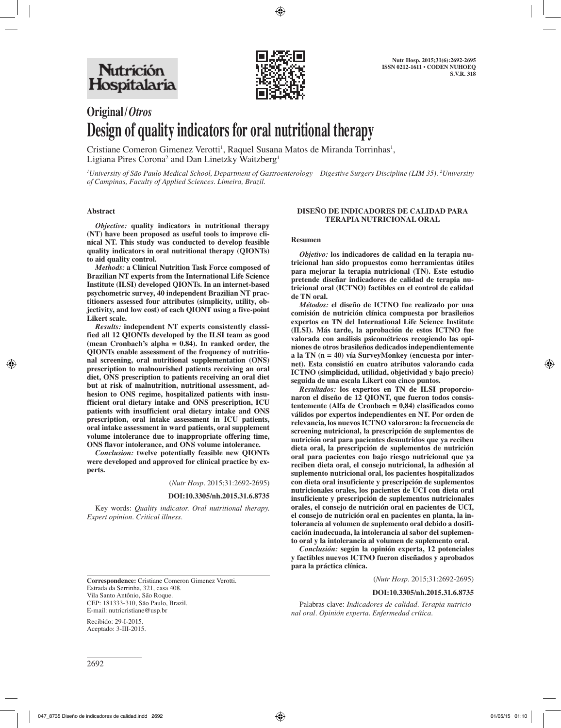

# **Original/***Otros* **Design of quality indicators for oral nutritional therapy**

Cristiane Comeron Gimenez Verotti<sup>1</sup>, Raquel Susana Matos de Miranda Torrinhas<sup>1</sup>, Ligiana Pires Corona<sup>2</sup> and Dan Linetzky Waitzberg<sup>1</sup>

*1 University of São Paulo Medical School, Department of Gastroenterology – Digestive Surgery Discipline (LIM 35). 2 University of Campinas, Faculty of Applied Sciences. Limeira, Brazil.*

## **Abstract**

*Objective:* **quality indicators in nutritional therapy (NT) have been proposed as useful tools to improve clinical NT. This study was conducted to develop feasible quality indicators in oral nutritional therapy (QIONTs) to aid quality control.**

*Methods:* **a Clinical Nutrition Task Force composed of Brazilian NT experts from the International Life Science Institute (ILSI) developed QIONTs. In an internet-based psychometric survey, 40 independent Brazilian NT practitioners assessed four attributes (simplicity, utility, objectivity, and low cost) of each QIONT using a five-point Likert scale.**

*Results:* **independent NT experts consistently classified all 12 QIONTs developed by the ILSI team as good (mean Cronbach's alpha = 0.84). In ranked order, the QIONTs enable assessment of the frequency of nutritional screening, oral nutritional supplementation (ONS) prescription to malnourished patients receiving an oral diet, ONS prescription to patients receiving an oral diet but at risk of malnutrition, nutritional assessment, adhesion to ONS regime, hospitalized patients with insufficient oral dietary intake and ONS prescription, ICU patients with insufficient oral dietary intake and ONS prescription, oral intake assessment in ICU patients, oral intake assessment in ward patients, oral supplement volume intolerance due to inappropriate offering time, ONS flavor intolerance, and ONS volume intolerance.**

*Conclusion:* **twelve potentially feasible new QIONTs were developed and approved for clinical practice by experts.**

(*Nutr Hosp.* 2015;31:2692-2695)

#### **DOI:10.3305/nh.2015.31.6.8735**

Key words: *Quality indicator. Oral nutritional therapy. Expert opinion. Critical illness.*

#### **DISEÑO DE INDICADORES DE CALIDAD PARA TERAPIA NUTRICIONAL ORAL**

#### **Resumen**

*Objetivo:* **los indicadores de calidad en la terapia nutricional han sido propuestos como herramientas útiles para mejorar la terapia nutricional (TN). Este estudio pretende diseñar indicadores de calidad de terapia nutricional oral (ICTNO) factibles en el control de calidad de TN oral.**

*Métodos:* **el diseño de ICTNO fue realizado por una comisión de nutrición clínica compuesta por brasileños expertos en TN del International Life Science Institute (ILSI). Más tarde, la aprobación de estos ICTNO fue valorada con análisis psicométricos recogiendo las opiniones de otros brasileños dedicados independientemente a la TN (n = 40) vía SurveyMonkey (encuesta por internet). Esta consistió en cuatro atributos valorando cada ICTNO (simplicidad, utilidad, objetividad y bajo precio) seguida de una escala Likert con cinco puntos.**

*Resultados:* **los expertos en TN de ILSI proporcionaron el diseño de 12 QIONT, que fueron todos consistentemente (Alfa de Cronbach = 0,84) clasificados como válidos por expertos independientes en NT. Por orden de relevancia, los nuevos ICTNO valoraron: la frecuencia de screening nutricional, la prescripción de suplementos de nutrición oral para pacientes desnutridos que ya reciben dieta oral, la prescripción de suplementos de nutrición oral para pacientes con bajo riesgo nutricional que ya reciben dieta oral, el consejo nutricional, la adhesión al suplemento nutricional oral, los pacientes hospitalizados con dieta oral insuficiente y prescripción de suplementos nutricionales orales, los pacientes de UCI con dieta oral insuficiente y prescripción de suplementos nutricionales orales, el consejo de nutrición oral en pacientes de UCI, el consejo de nutrición oral en pacientes en planta, la intolerancia al volumen de suplemento oral debido a dosificación inadecuada, la intolerancia al sabor del suplemento oral y la intolerancia al volumen de suplemento oral.** 

*Conclusión:* **según la opinión experta, 12 potenciales y factibles nuevos ICTNO fueron diseñados y aprobados para la práctica clínica.**

(*Nutr Hosp.* 2015;31:2692-2695)

### **DOI:10.3305/nh.2015.31.6.8735**

Palabras clave: *Indicadores de calidad. Terapia nutricional oral. Opinión experta. Enfermedad crítica.*

**Correspondence:** Cristiane Comeron Gimenez Verotti. Estrada da Serrinha, 321, casa 408. Vila Santo Antônio, São Roque. CEP: 181333-310, São Paulo, Brazil. E-mail: nutricristiane@usp.br

Recibido: 29-I-2015. Aceptado: 3-III-2015.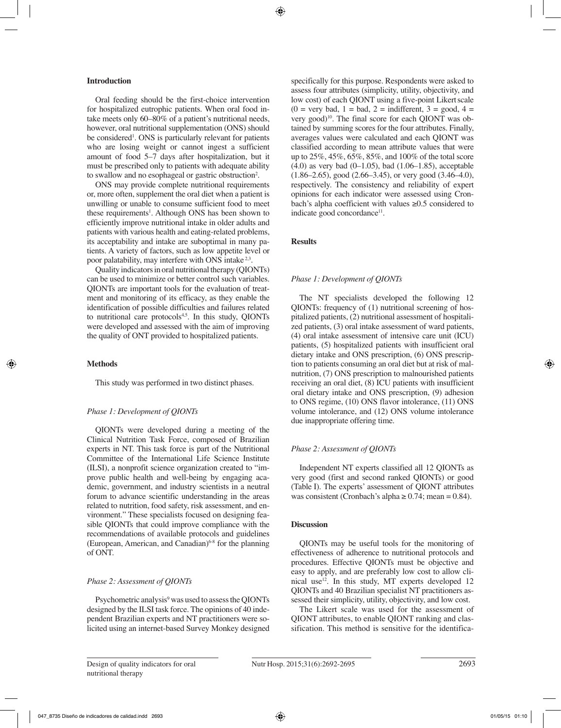# **Introduction**

Oral feeding should be the first-choice intervention for hospitalized eutrophic patients. When oral food intake meets only 60–80% of a patient's nutritional needs, however, oral nutritional supplementation (ONS) should be considered<sup>1</sup>. ONS is particularly relevant for patients who are losing weight or cannot ingest a sufficient amount of food 5–7 days after hospitalization, but it must be prescribed only to patients with adequate ability to swallow and no esophageal or gastric obstruction<sup>2</sup>.

ONS may provide complete nutritional requirements or, more often, supplement the oral diet when a patient is unwilling or unable to consume sufficient food to meet these requirements<sup>1</sup>. Although ONS has been shown to efficiently improve nutritional intake in older adults and patients with various health and eating-related problems, its acceptability and intake are suboptimal in many patients. A variety of factors, such as low appetite level or poor palatability, may interfere with ONS intake 2,3.

Quality indicators in oral nutritional therapy (QIONTs) can be used to minimize or better control such variables. QIONTs are important tools for the evaluation of treatment and monitoring of its efficacy, as they enable the identification of possible difficulties and failures related to nutritional care protocols $4.5$ . In this study, QIONTs were developed and assessed with the aim of improving the quality of ONT provided to hospitalized patients.

# **Methods**

This study was performed in two distinct phases.

# *Phase 1: Development of QIONTs*

QIONTs were developed during a meeting of the Clinical Nutrition Task Force, composed of Brazilian experts in NT. This task force is part of the Nutritional Committee of the International Life Science Institute (ILSI), a nonprofit science organization created to "improve public health and well-being by engaging academic, government, and industry scientists in a neutral forum to advance scientific understanding in the areas related to nutrition, food safety, risk assessment, and environment." These specialists focused on designing feasible QIONTs that could improve compliance with the recommendations of available protocols and guidelines (European, American, and Canadian)6-8 for the planning of ONT.

# *Phase 2: Assessment of QIONTs*

Psychometric analysis<sup>9</sup> was used to assess the QIONTs designed by the ILSI task force. The opinions of 40 independent Brazilian experts and NT practitioners were solicited using an internet-based Survey Monkey designed

specifically for this purpose. Respondents were asked to assess four attributes (simplicity, utility, objectivity, and low cost) of each QIONT using a five-point Likert scale  $(0 = \text{very bad}, 1 = \text{bad}, 2 = \text{indifferent}, 3 = \text{good}, 4 = \text{bad})$ very good)<sup>10</sup>. The final score for each QIONT was obtained by summing scores for the four attributes. Finally, averages values were calculated and each QIONT was classified according to mean attribute values that were up to 25%, 45%, 65%, 85%, and 100% of the total score (4.0) as very bad  $(0-1.05)$ , bad  $(1.06-1.85)$ , acceptable (1.86–2.65), good (2.66–3.45), or very good (3.46–4.0), respectively. The consistency and reliability of expert opinions for each indicator were assessed using Cronbach's alpha coefficient with values ≥0.5 considered to indicate good concordance<sup>11</sup>.

# **Results**

### *Phase 1: Development of QIONTs*

The NT specialists developed the following 12 QIONTs: frequency of (1) nutritional screening of hospitalized patients, (2) nutritional assessment of hospitalized patients, (3) oral intake assessment of ward patients, (4) oral intake assessment of intensive care unit (ICU) patients, (5) hospitalized patients with insufficient oral dietary intake and ONS prescription, (6) ONS prescription to patients consuming an oral diet but at risk of malnutrition, (7) ONS prescription to malnourished patients receiving an oral diet, (8) ICU patients with insufficient oral dietary intake and ONS prescription, (9) adhesion to ONS regime, (10) ONS flavor intolerance, (11) ONS volume intolerance, and (12) ONS volume intolerance due inappropriate offering time.

# *Phase 2: Assessment of QIONTs*

Independent NT experts classified all 12 QIONTs as very good (first and second ranked QIONTs) or good (Table I). The experts' assessment of QIONT attributes was consistent (Cronbach's alpha  $\geq 0.74$ ; mean = 0.84).

### **Discussion**

QIONTs may be useful tools for the monitoring of effectiveness of adherence to nutritional protocols and procedures. Effective QIONTs must be objective and easy to apply, and are preferably low cost to allow clinical use<sup>12</sup>. In this study, MT experts developed  $12$ QIONTs and 40 Brazilian specialist NT practitioners assessed their simplicity, utility, objectivity, and low cost.

The Likert scale was used for the assessment of QIONT attributes, to enable QIONT ranking and classification. This method is sensitive for the identifica-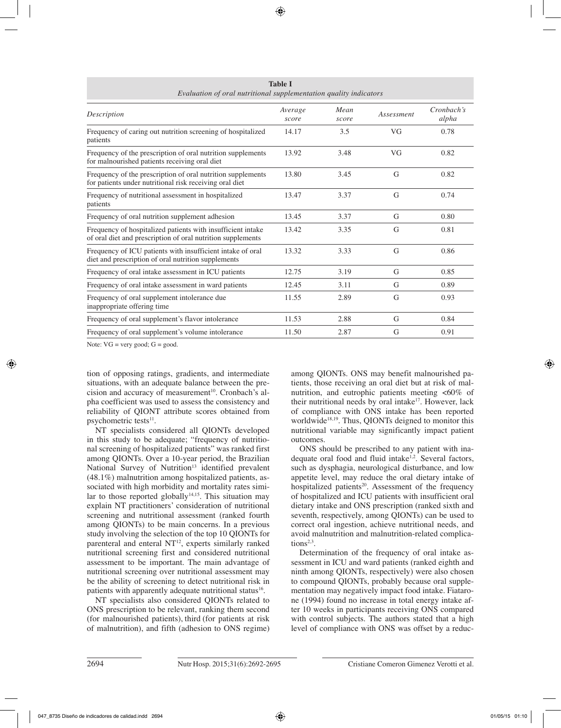| Description                                                                                                                | Average<br>score | Mean<br>score | Assessment | Cronbach's<br>alpha |
|----------------------------------------------------------------------------------------------------------------------------|------------------|---------------|------------|---------------------|
| Frequency of caring out nutrition screening of hospitalized<br>patients                                                    | 14.17            | 3.5           | VG         | 0.78                |
| Frequency of the prescription of oral nutrition supplements<br>for malnourished patients receiving oral diet               | 13.92            | 3.48          | VG         | 0.82                |
| Frequency of the prescription of oral nutrition supplements<br>for patients under nutritional risk receiving oral diet     | 13.80            | 3.45          | G          | 0.82                |
| Frequency of nutritional assessment in hospitalized<br>patients                                                            | 13.47            | 3.37          | G          | 0.74                |
| Frequency of oral nutrition supplement adhesion                                                                            | 13.45            | 3.37          | G          | 0.80                |
| Frequency of hospitalized patients with insufficient intake<br>of oral diet and prescription of oral nutrition supplements | 13.42            | 3.35          | G          | 0.81                |
| Frequency of ICU patients with insufficient intake of oral<br>diet and prescription of oral nutrition supplements          | 13.32            | 3.33          | G          | 0.86                |
| Frequency of oral intake assessment in ICU patients                                                                        | 12.75            | 3.19          | G          | 0.85                |
| Frequency of oral intake assessment in ward patients                                                                       | 12.45            | 3.11          | G          | 0.89                |
| Frequency of oral supplement intolerance due<br>inappropriate offering time                                                | 11.55            | 2.89          | G          | 0.93                |
| Frequency of oral supplement's flavor intolerance                                                                          | 11.53            | 2.88          | G          | 0.84                |
| Frequency of oral supplement's volume intolerance                                                                          | 11.50            | 2.87          | G          | 0.91                |

**Table I** *Evaluation of oral nutritional supplementation quality indicators*

Note:  $VG = very good$ ;  $G = good$ .

tion of opposing ratings, gradients, and intermediate situations, with an adequate balance between the precision and accuracy of measurement<sup>10</sup>. Cronbach's alpha coefficient was used to assess the consistency and reliability of QIONT attribute scores obtained from psychometric tests $^{11}$ .

NT specialists considered all QIONTs developed in this study to be adequate; "frequency of nutritional screening of hospitalized patients" was ranked first among QIONTs. Over a 10-year period, the Brazilian National Survey of Nutrition<sup>13</sup> identified prevalent (48.1%) malnutrition among hospitalized patients, associated with high morbidity and mortality rates similar to those reported globally<sup>14,15</sup>. This situation may explain NT practitioners' consideration of nutritional screening and nutritional assessment (ranked fourth among QIONTs) to be main concerns. In a previous study involving the selection of the top 10 QIONTs for parenteral and enteral  $NT<sup>12</sup>$ , experts similarly ranked nutritional screening first and considered nutritional assessment to be important. The main advantage of nutritional screening over nutritional assessment may be the ability of screening to detect nutritional risk in patients with apparently adequate nutritional status<sup>16</sup>.

NT specialists also considered QIONTs related to ONS prescription to be relevant, ranking them second (for malnourished patients), third (for patients at risk of malnutrition), and fifth (adhesion to ONS regime) among QIONTs. ONS may benefit malnourished patients, those receiving an oral diet but at risk of malnutrition, and eutrophic patients meeting  $<60\%$  of their nutritional needs by oral intake<sup>17</sup>. However, lack of compliance with ONS intake has been reported worldwide<sup>18,19</sup>. Thus, QIONTs deigned to monitor this nutritional variable may significantly impact patient outcomes.

ONS should be prescribed to any patient with inadequate oral food and fluid intake<sup>1,2</sup>. Several factors, such as dysphagia, neurological disturbance, and low appetite level, may reduce the oral dietary intake of hospitalized patients<sup>20</sup>. Assessment of the frequency of hospitalized and ICU patients with insufficient oral dietary intake and ONS prescription (ranked sixth and seventh, respectively, among QIONTs) can be used to correct oral ingestion, achieve nutritional needs, and avoid malnutrition and malnutrition-related complications $2,3$ .

Determination of the frequency of oral intake assessment in ICU and ward patients (ranked eighth and ninth among QIONTs, respectively) were also chosen to compound QIONTs, probably because oral supplementation may negatively impact food intake. Fiatarone (1994) found no increase in total energy intake after 10 weeks in participants receiving ONS compared with control subjects. The authors stated that a high level of compliance with ONS was offset by a reduc